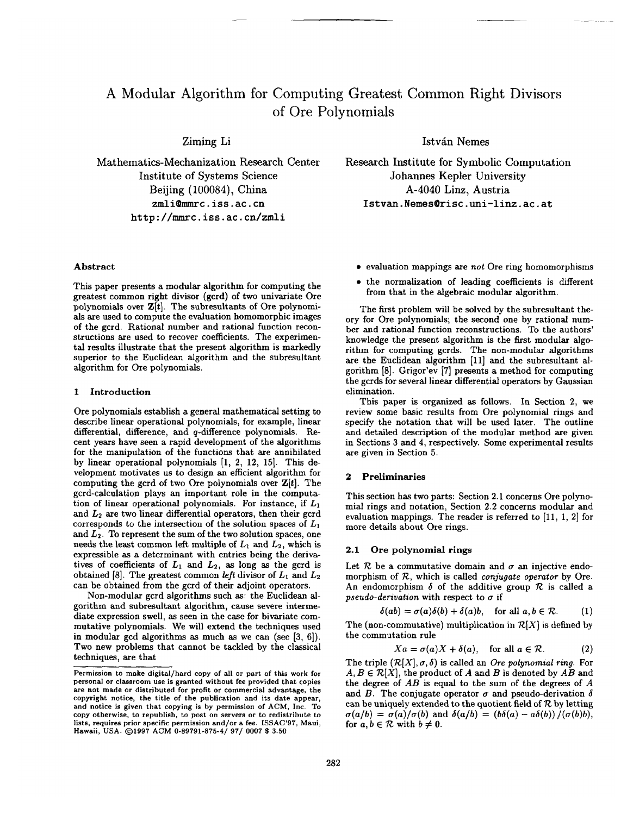# A Modular Algorithm for Computing Greatest Common Right Divisors of Ore Polynomials

Beijing (100084), China A-4040 Linz, Austria http: //mmrc. 1ss. ac. cn/zmli

## Abstract

This paper presents a modular algorithm for computing the greatest common right divisor (gcrd) of two univariate Ore polynomials over  $\mathbf{Z}[t]$ . The subresultants of Ore polynomials are used to compute the evaluation homomorphic images of the gcrd. Rational number and rational function reconstructions are used to recover coefficients. The experimental results illustrate that the present algorithm is markedly superior to the Euclidean algorithm and the subresultant algorithm for Ore polynomials.

# 1 Introduction

Ore polynomials establish a general mathematical setting to describe linear operational polynomials, for example, linear differential, difference, and g-difference polynomials. Recent years have seen a rapid development of the algorithms for the manipulation of the functions that are annihilated by linear operational polynomials [1, 2, 12} 151. This development motivates us to design an efficient algorithm for computing the gcrd of two Ore polynomials over  $\mathbf{Z}[t]$ . The gcrd-calculation plays an important role in the computation of linear operational polynomials. For instance, if  $L_1$ and  $L_2$  are two linear differential operators, then their gcrd corresponds to the intersection of the solution spaces of  $L_1$ and  $L_2$ . To represent the sum of the two solution spaces, one needs the least common left multiple of  $L_1$  and  $L_2$ , which is expressible as a determinant with entries being the derivatives of coefficients of  $L_1$  and  $L_2$ , as long as the gcrd is obtained [8]. The greatest common left divisor of  $L_1$  and  $L_2$ can be obtained from the gcrd of their adjoint operators.

Non-modular gcrd algorithms such as: the Euclidean afgorithm and subresultant algorithm, cause severe intermediate expression swell, as seen in the case for bivariate commutative polynomials. We will extend the techniques used in modular gcd algorithms as much as we can (see [3, 6]), Two new problems that cannot be tackled by the classical techniques, are that

Ziming Li Istv&n Nemes

Mathematics-Mechanization Research Center Research Institute for Symbolic Computation Institute of Systems Science Johannes Kepler University zmli@nmrcc .iss. ac. cn Istvan. Nemes@risc .uni-linz. ac, at

- . evaluation mappings are *not* Ore ring homomorphisms
- . the normalization of leading coefficients is different from that in the algebraic modular algorithm.

The first problem will be solved by the subresultant theory for Ore polynomials; the second one by rational number and rational function reconstructions. To the authors' knowledge the present algorithm is the first modular algorithm for computing gcrds. The non-modular algorithms are the Euclidean algorithm [11] and the subresultant algorithm [8]. Grigor'ev [7] presents a method for computing the gcrds for several linear differential operators by Gaussian elimination.

This paper is organized as follows, In Section 2, we review some basic results from Ore polynomial rings and specify the notation that will be used later. The outline and detailed description of the modular method are given in Sections 3 and 4, respectively. Some experimental results are given in Section 5.

#### 2 Preliminaries

This section has two parts: Section 2.1 concerns Ore polynomial rings and notation, Section 2.2 concerns modular and evaluation mappings. The reader is referred to [11, 1, 2] for more details about Ore rings.

## 2.1 Ore polynomial rings

Let  $R$  be a commutative domain and  $\sigma$  an injective endomorphism of  $R$ , which is called *conjugate operator* by Ore. An endomorphism  $\delta$  of the additive group  $\mathcal R$  is called a *pseudo-derivation* with respect to  $\sigma$  if

$$
\delta(ab) = \sigma(a)\delta(b) + \delta(a)b, \quad \text{for all } a, b \in \mathcal{R}.
$$
 (1)

The (non-commutative) multiplication in  $\mathcal{R}[X]$  is defined by the commutation rule

$$
Xa = \sigma(a)X + \delta(a), \quad \text{for all } a \in \mathcal{R}.
$$
 (2)

The triple  $(R[X], \sigma, \delta)$  is called an *Ore polynomial ring*. For  $A, B \in \mathcal{R}[X]$ , the product of *A* and *B* is denoted by *AB* and the degree of *AB* is equal to the sum of the degrees of *A* and *B*. The conjugate operator  $\sigma$  and pseudo-derivation  $\delta$ can be uniquely extended to the quotient field of  $R$  by letting  $\sigma(a/b) = \sigma(a)/\sigma(b)$  and  $\delta(a/b) = (b\delta(a) - a\delta(b))/(\sigma(b)b)$ , for  $a, b \in \mathcal{R}$  with  $b \neq 0$ .

Permission to make digital/hard copy of all or part of this **work for personal or classroom use is granted without fee provided that** copies are not made or distributed for profit or commercial advantage, the copyright notice, the title of the publication and its date appear, and notice **is given that copying is by permission of ACM, Inc. To copy otherwise, to republisb, to post on servers or to redistribute to lists, requires prior specific permission and/or a fee. ISSAC'97, Maui, Hawaii,** USA. @1997 **ACM 0-89791-875-4/ 97/ 0007\$3.50**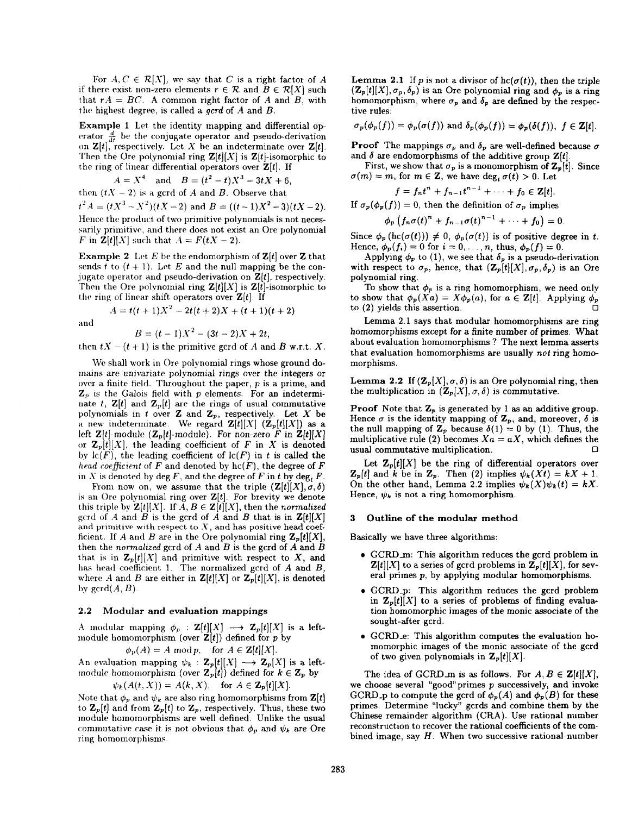For  $A, C \in \mathcal{R}[X]$ , we say that C is a right factor of A if there exist non-zero elements  $r \in \mathcal{R}$  and  $B \in \mathcal{R}[X]$  such that  $rA = BC$ . A common right factor of A and B, with the highest degree, is called a *gcrd* of A and B.

Example 1 Let the identity mapping and differential operator  $\frac{a}{dt}$  be the conjugate operator and pseudo-derivation on  $\mathbf{Z}[t]$ , respectively. Let X be an indeterminate over  $\mathbf{Z}[t]$ . Then the Ore polynomial ring  $\mathbf{Z}[t][X]$  is  $\mathbf{Z}[t]$ -isomorphic to the ring of linear differential operators over  $\mathbf{Z}[t]$ . If

$$
A = X4
$$
 and  $B = (t2 - t)X3 - 3tX + 6$ ,

then  $(tX - 2)$  is a gcrd of *A* and *B*. Observe that

 $t^2A = (tX^3 - X^2)(tX - 2)$  and  $B = ((t-1)X^2 - 3)(tX - 2)$ . Hence the product of two primitive polynomials is not necessarily primitive, and there does not exist an Ore polynomial *F* in  $\mathbf{Z}[t][X]$  such that  $A = F(tX - 2)$ .

**Example 2** Let  $E$  be the endomorphism of  $\mathbf{Z}[t]$  over  $\mathbf{Z}$  that sends t to  $(t + 1)$ . Let E and the null mapping be the conjugate operator and pseudo-derivation on  $\mathbf{Z}[t]$ , respectively. Then the Ore polynomial ring  $\mathbf{Z}[t][X]$  is  $\mathbf{Z}[t]$ -isomorphic to the ring of linear shift operators over  $\mathbf{Z}[t]$ . If

$$
A = t(t+1)X^2 - 2t(t+2)X + (t+1)(t+2)
$$

and

$$
B = (t-1)X^2 - (3t-2)X + 2t,
$$

then  $tX - (t + 1)$  is the primitive gcrd of *A* and *B* w.r.t, *X*.

We shall work in Ore polynomial rings whose ground domains *are univariate* polynomial *rings* over the integers or over a finite field. Throughout the paper,  $p$  is a prime, and  $\mathbf{Z}_p$  is the Galois field with  $p$  elements. For an indeterminate t,  $\mathbf{Z}[t]$  and  $\mathbf{Z}_p[t]$  are the rings of usual commutative polynomials in t over  $Z$  and  $Z_p$ , respectively. Let  $X$  be a new indeterminate. We regard  $\mathbf{Z}[t][X]$  ( $\mathbf{Z}_p[t][X]$ ) as a left  $\mathbf{Z}[t]$ -module  $(\mathbf{Z}_p[t]$ -module). For non-zero  $F$  in  $\mathbf{Z}[t]|X$ or  $\mathbf{Z}_p[t][X]$ , the leading coefficient of F in X is denoted by  $lc(F)$ , the leading coefficient of  $lc(F)$  in t is called the *head coefficient* of  $F$  and denoted by  $hc(F)$ , the degree of  $F$ in  $X$  is denoted by deg  $F$ , and the degree of  $F$  in  $t$  by deg<sub>t</sub>  $F$ .

From now on, we assume that the triple  $(Z[t][X], \sigma, \delta)$ is an Ore polynomial ring over  $\mathbf{Z}[t]$ . For brevity we denote this triple by  $\mathbf{Z}[t][X]$ . If  $A, B \in \mathbf{Z}[t][X]$ , then the *normalized gcrd* of *A* and *B* is the gcrd of *A* and *B* that is in  $\mathbf{Z}[t][X]$ and primitive with respect to  $X$ , and has positive head coefficient. If *A* and *B* are in the Ore polynomial ring  $\mathbf{Z}_p[t][X]$ , then the *normalized* gcrd of  $A$  and  $B$  is the gcrd of  $A$  and  $B$ that is in  $\mathbb{Z}_p[t][X]$  and primitive with respect to X, and has head coefficient 1. The normalized gcrd of *A* and *B,* where A and B are either in  $\mathbf{Z}[t][X]$  or  $\mathbf{Z}_p[t][X]$ , is denoted by  $\gcd(A, B)$ .

### 2.2 Modular and evaluation mappings

A modular mapping  $\phi_p : \mathbf{Z}[t][X] \longrightarrow \mathbf{Z}_p[t][X]$  is a leftmodule homomorphism (over  $\mathbf{Z}[t]$ ) defined for p by

$$
\phi_p(A) = A \mod p, \quad \text{for } A \in \mathbf{Z}[t][X]
$$

An evaluation mapping  $\psi_k$  :  $\mathbf{Z}_p[t][X] \longrightarrow \mathbf{Z}_p[X]$  is a leftmodule homomorphism (over  $\mathbf{Z}_p[t]$ ) defined for  $k \in \mathbf{Z}_p$  by  $\psi_k(A(t, X)) = A(k, X), \text{ for } A \in \mathbb{Z}_p[t][X].$ 

Note that  $\phi_p$  and  $\psi_k$  are also ring homomorphisms from  $\mathbf{Z}[t]$ to  $\mathbf{Z}_p[t]$  and from  $\mathbf{Z}_p[t]$  to  $\mathbf{Z}_p$ , respectively. Thus, these two module homomorphisms are well defined. Unlike the usual commutative case it is not obvious that  $\phi_p$  and  $\psi_k$  are Ore ring homomorphisms

**Lemma 2.1** If p is not a divisor of  $hc(\sigma(t))$ , then the triple  $(\mathbf{Z}_{p}[t][X], \sigma_{p}, \delta_{p})$  is an Ore polynomial ring and  $\phi_{p}$  is a ring homomorphism, where  $\sigma_p$  and  $\delta_p$  are defined by the respective rules:

$$
\sigma_p(\phi_p(f)) = \phi_p(\sigma(f)) \text{ and } \delta_p(\phi_p(f)) = \phi_p(\delta(f)), \ f \in \mathbf{Z}[t].
$$

**Proof** The mappings  $\sigma_p$  and  $\delta_p$  are well-defined because  $\sigma$ and  $\delta$  are endomorphisms of the additive group  $\mathbf{Z}[t]$ .

First, we show that  $\sigma_p$  is a monomorphism of  $\mathbf{Z}_p[t]$ . Since  $\sigma(m) = m$ , for  $m \in \mathbb{Z}$ , we have deg,  $\sigma(t) > 0$ . Let

$$
f = f_n t^n + f_{n-1} t^{n-1} + \cdots + f_0 \in \mathbb{Z}[t].
$$

If  $\sigma_p(\phi_p(f)) = 0$ , then the definition of  $\sigma_p$  implies

$$
\phi_p\left(f_n\sigma(t)^n+f_{n-1}\sigma(t)^{n-1}+\cdots+f_0\right)=0.
$$

Since  $\phi_p(\mathrm{hc}(\sigma(t))) \neq 0$ ,  $\phi_p(\sigma(t))$  is of positive degree in t. Hence,  $\phi_p(f_i) = 0$  for  $i = 0, \ldots, n$ , thus,  $\phi_p(f) = 0$ .

Applying  $\phi_p$  to (1), we see that  $\delta_p$  is a pseudo-derivation with respect to  $\sigma_p$ , hence, that  $(\mathbf{Z}_p[t][X], \sigma_p, \delta_p)$  is an Ore polynomial ring.

To show that  $\phi_p$  is a ring homomorphism, we need only to show that  $\phi_p(Xa) = X\phi_p(a)$ , for  $a \in \mathbb{Z}[t]$ . Applying  $\phi_p$ to (2) yields this assertion. ❑

Lemma 2.1 says that modulaz homomorphisms are ring homomorphisms except for a finite number of primes. What about evaluation homomorphisms ? The next lemma asserts that evaluation homomorphisms are usually *not* ring homomorphisms.

Lemma 2.2 If  $(\mathbb{Z}_p[X], \sigma, \delta)$  is an Ore polynomial ring, then the multiplication in  $(\mathbb{Z}_p[X], \sigma, \delta)$  is commutative.

**Proof** Note that  $\mathbf{Z}_p$  is generated by 1 as an additive group. Hence  $\sigma$  is the identity mapping of  $\mathbf{Z}_p$ , and, moreover,  $\delta$  is the null mapping of  $\mathbf{Z}_p$  because  $\delta(1) = 0$  by (1). Thus, the multiplicative rule (2) becomes  $Xa = aX$ , which defines the usual commutative multiplication. ❑

Let  $\mathbf{Z}_p[t][X]$  be the ring of differential operators over  $\mathbf{Z}_p[t]$  and *k* be in  $\mathbf{Z}_p$ . Then (2) implies  $\psi_k(Xt) = kX + 1$ . On the other hand, Lemma 2.2 implies  $\psi_k(X)\psi_k(t)=kX$ . Hence,  $\psi_k$  is not a ring homomorphism.

#### 3 Outline of the modular method

Basically we have three algorithms:

- GCRD-m: This algorithm reduces the gcrd problem in  $\mathbf{Z}[t][X]$  to a series of gcrd problems in  $\mathbf{Z}_{p}[t][X]$ , for several primes *p,* by applying modular homomorphisms.
- GCR.D-p: This algorithm reduces the gcrd problem in  $\mathbf{Z}_p[t][X]$  to a series of problems of finding evaluation homomorphic images of the monic associate of the sought-after gcrd.
- $\bullet$  GCRD\_e: This algorithm computes the evaluation homomorphic images of the monic associate of the gcrd of two given polynomials in  $\mathbf{Z}_p[t][X]$ .

The idea of GCRD m is as follows. For  $A, B \in \mathbb{Z}[t][X]$ , we choose several "good" primes *p* successively, and invoke GCRD<sub>r</sub> to compute the gcrd of  $\phi_p(A)$  and  $\phi_p(B)$  for these primes. Determine "lucky" gcrds and combine them by the Chinese remainder algorithm (CRA). Use rational number reconstruction to recover the rational coefficients of the combined image, say *H.* When two successive rational number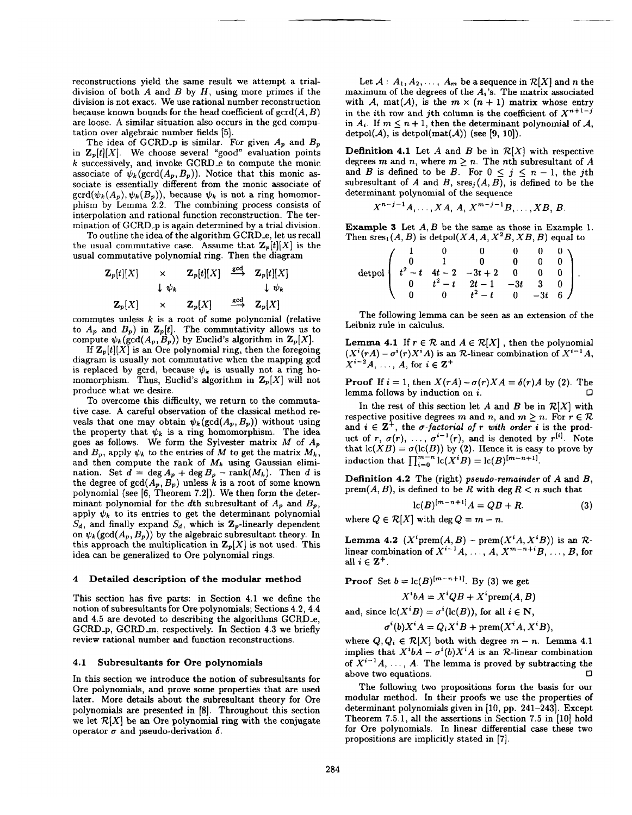reconstructions yield the same result we attempt a trialdivision of both  $A$  and  $B$  by  $H$ , using more primes if the division is not exact. We use rational number reconstruction because known bounds for the head coefficient of  $gcd(A, B)$ are loose. A similar situation also occurs in the gcd computation over algebraic number fields [5].

The idea of GCRD-p is similar. For given  $A_p$  and  $B_p$ in  $\mathbf{Z}_p[t][X]$ . We choose several "good" evaluation points *k* successively, and invoke GCRD-e to compute the monic associate of  $\psi_k(\text{gcd}(A_p, B_p))$ . Notice that this monic associate is essentially different from the monic associate of  $\gcd(\psi_k(A_p), \psi_k(B_p))$ , because  $\psi_k$  is not a ring homomorphism by Lemma 2.2. The combining process consists of interpolation and rational function reconstruction. The termination of GCRD.p is again determined by a trial division.

To outline the idea of the algorithm GCRD-e, let us recall the usual commutative case. Assume that  $\mathbf{Z}_p[t][X]$  is the usual commutative polynomial ring. Then the diagram

$$
\mathbf{Z}_p[t][X] \times \mathbf{Z}_p[t][X] \xrightarrow{\text{gcd}} \mathbf{Z}_p[t][X] \downarrow \psi_k \qquad \downarrow \psi_k
$$

$$
\mathbf{Z}_p[X] \times \mathbf{Z}_p[X] \xrightarrow{\text{gcd}} \mathbf{Z}_p[X]
$$

commutes unless  $k$  is a root of some polynomial (relative to  $A_p$  and  $B_p$ ) in  $\mathbb{Z}_p[t]$ . The commutativity allows us to compute  $\psi_k(\gcd(A_p, B_p))$  by Euclid's algorithm in  $\mathbb{Z}_p[X]$ .

If  $\mathbf{Z}_p[t][X]$  is an Ore polynomial ring, then the foregoing diagram is usually not commutative when the mapping gcd is replaced by gcrd, because  $\psi_k$  is usually not a ring homomorphism. Thus, Euclid's algorithm in  $\mathbf{Z}_p[X]$  will not produce what we desire.

To overcome this difficulty, we return to the commutative caae. A careful observation of the classical method reveals that one may obtain  $\psi_k(\gcd(A_p, B_p))$  without using the property that  $\psi_k$  is a ring homomorphism. The idea goes as follows. We form the Sylvester matrix  $M$  of  $A_p$ and  $B_p$ , apply  $\psi_k$  to the entries of  $M$  to get the matrix  $M_k$ , and then compute the rank of  $M_k$  using Gaussian elimination. Set  $d = \deg A_p + \deg B_p - \operatorname{rank}(M_k)$ . Then d is the degree of  $gcd(A_p, B_p)$  unless  $k$  is a root of some known polynomial (see [6, Theorem 7.2]). We then form the determinant polynomial for the dth subresultant of  $A_p$  and  $B_p$ , apply  $\psi_k$  to its entries to get the determinant polynomial  $S_d$ , and finally expand  $S_d$ , which is  $\mathbf{Z}_p$ -linearly dependent on  $\psi_k(\gcd(A_p, B_p))$  by the algebraic subresultant theory. In this approach the multiplication in  $\mathbf{Z}_p[X]$  is not used. This idea can be generalized to Ore polynomial rings.

#### 4 Detailed description of the modular method

This section has five parts: in Section 4.1 we define the notion of subresultants for Ore polynomials; Sections 4.2, 4.4 and 4.5 are devoted to describing the algorithms GCRD-e, GCRD<sub>-P</sub>, GCRD<sub>-</sub>m, respectively. In Section 4.3 we briefly review rational number and function reconstructions.

### 4.1 Subresultants for Ore polynomials

In this section we introduce the notion of subresultants for Ore polynomials, and prove some properties that are used later. More details about the subresultant theory for Ore polynomials are presented in [8]. Throughout this section we let  $\mathcal{R}[X]$  be an Ore polynomial ring with the conjugate operator  $\sigma$  and pseudo-derivation  $\delta$ .

Let  $A: A_1, A_2, \ldots, A_m$  be a sequence in  $\mathcal{R}[X]$  and *n* the maximum of the degrees of the *Ai 's.* The matrix associated with *A*, mat(*A*), is the  $m \times (n + 1)$  matrix whose entry in the ith row and jth column is the coefficient of  $X^{n+1-j}$ in  $A_i$ . If  $m \leq n + 1$ , then the determinant polynomial of A, detpol( $A$ ), is detpol( $mat(A)$ ) (see [9, 10]).

**Definition 4.1** Let  $A$  and  $B$  be in  $\mathcal{R}[X]$  with respective degrees  $m$  and  $n$ , where  $m \geq n$ . The  $n$ th subresultant of  $A$ and *B* is defined to be *B*. For  $0 \leq j \leq n-1$ , the jth subresultant of *A* and *B*,  $sres<sub>j</sub>(A, B)$ , is defined to be the determinant polynomial of the sequence

$$
X^{n-j-1}A,\ldots,XA,\,A,\,X^{m-j-1}B,\ldots,XB,\,B.
$$

Example 3 Let *A, B* be the same as those in Example 1. Then  $sres_1(A, B)$  is detpol $(XA, A, X^2B, XB, B)$  equal to

|  |  | $\text{detpol} \left( \begin{array}{cccccc} 1 & 0 & 0 & 0 & 0 & 0 \ 0 & 1 & 0 & 0 & 0 & 0 \ t^2-t & 4t-2 & -3t+2 & 0 & 0 & 0 \ 0 & t^2-t & 2t-1 & -3t & 3 & 0 \ 0 & 0 & t^2-t & 0 & -3t & 6 \end{array} \right).$ |  |  |
|--|--|-------------------------------------------------------------------------------------------------------------------------------------------------------------------------------------------------------------------|--|--|

The following lemma can be seen as an extension of the Leibniz rule in calculus.

**Lemma 4.1** If  $r \in \mathcal{R}$  and  $A \in \mathcal{R}[X]$ , then the polynomial  $(X^{i}(rA) - \sigma^{i}(r)X^{i}A)$  is an R-linear combination of  $X^{i-1}A$ ,  $X^{i-2}A, \ldots, A$ , for  $i \in \mathbb{Z}^+$ 

**Proof** If  $i = 1$ , then  $X(rA) - \sigma(r)XA = \delta(r)A$  by (2). The lemma follows by induction on  $i$ .  $\Box$ 

In the rest of this section let *A* and *B* be in  $\mathcal{R}[X]$  with respective positive degrees m and n, and  $m \ge n$ . For  $r \in \mathcal{R}$ and  $i \in \mathbb{Z}^+$ , the  $\sigma$ -factorial of  $r$  with order i is the product of r,  $\sigma(r)$ , ...,  $\sigma^{r-1}(r)$ , and is denoted by  $r^{[t]}$ . Note that  $lc(XB) = \sigma(lc(B))$  by (2). Hence it is easy to prove by induction that  $\prod_{i=0}^{m-n}$  lc $(X^iB) =$  lc $(B)^{\lfloor m-n+1\rfloor}$ .

Definition 4.2 The (right) *pseudo-remainder* of *A* and *B,* prem $(A, B)$ , is defined to be *R* with deg  $R < n$  such that

$$
lc(B)^{[m-n+1]}A = QB + R.
$$
 (3)

where  $Q \in \mathcal{R}[X]$  with deg  $Q = m - n$ .

**Lemma 4.2**  $(X^i$ prem $(A, B)$  – prem $(X^i A, X^i B)$  is an  $\mathcal{R}$ linear combination of  $X^{i-1}A, \ldots, A, X^{m-n+i}B, \ldots, B$ , for all  $i \in \mathbb{Z}^+$ .

**Proof** Set  $b = \ln(B)^{[m-n+1]}$ . By (3) we get

$$
X^{\dagger}bA = X^{\dagger}QB + X^{\dagger}prem(A, B)
$$

and, since  $\text{lc}(X^{i}B) = \sigma^{i}(\text{lc}(B))$ , for all  $i \in \mathbb{N}$ ,

 $\sigma^{i}(b)X^{i}A = Q_{i}X^{i}B + \text{prem}(X^{i}A, X^{i}B),$ 

where  $Q, Q_i \in \mathcal{R}[X]$  both with degree  $m - n$ . Lemma 4.1 implies that  $X^i bA - \sigma^i(b) X^i A$  is an R-linear combination of  $X^{i-1}A$ , ..., A. The lemma is proved by subtracting the above two equations.

The following two propositions form the basis for our modular method. In their proofs we use the properties of determinant polynomials given in [10, pp. 241-243]. Except Theorem 7.5.1, all the assertions in Section 7.5 in [10] hold for Ore polynomials. In linear differential case these two propositions are implicitly stated in [7].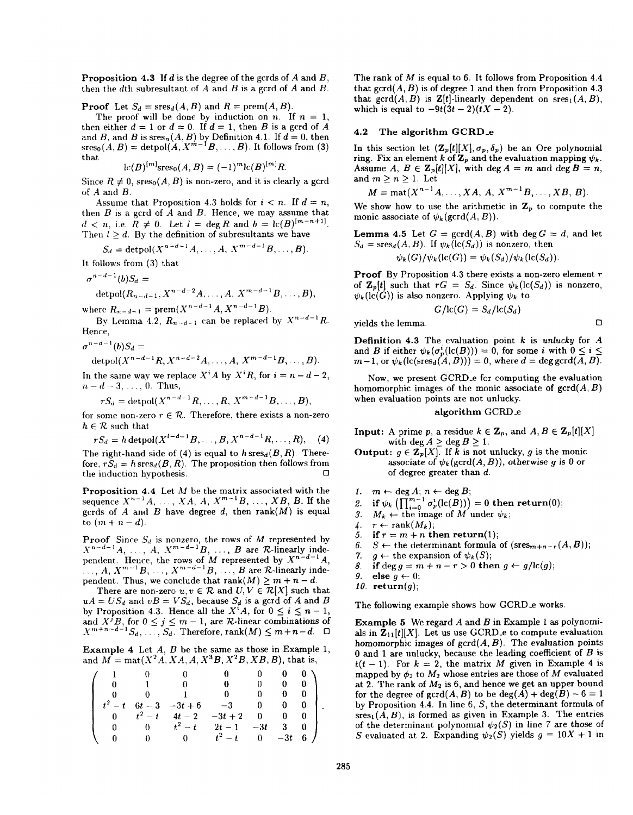Proposition 4.3 If d is the degree of the gcrds of *A* and *B,* then the dth subresultant of A and *B is* a gcrd of *A* and *B.*

**Proof** Let  $S_d = \text{sres}_d(A, B)$  and  $R = \text{prem}(A, B)$ .

The proof will be done by induction on n. If  $n = 1$ , then either  $d = 1$  or  $d = 0$ . If  $d = 1$ , then *B* is a gcrd of *A* and B, and B is sres<sub>n</sub>(A, B) by Definition 4.1. If  $d = 0$ , then<br>sres<sub>0</sub>(A, B) = detpol(A,  $X^{m-1}B, \ldots, B$ ). It follows from (3) that

$$
-{\rm lc}(B)^{[m]} {\rm sres}_0(A,B)=(-1)^m{\rm lc}(B)^{[m]} R.
$$

Since  $R \neq 0$ , sres<sub>0</sub> $(A, B)$  is non-zero, and it is clearly a gcrd of *A* and *B.*

Assume that Proposition 4.3 holds for  $i < n$ . If  $d = n$ , then  $B$  is a gcrd of  $A$  and  $B$ . Hence, we may assume that  $d < n$ , i.e.  $R \neq 0$ . Let  $l = \deg R$  and  $b = \lg(B)^{[m-n+1]}$ . Then  $l \geq d$ . By the definition of subresultants we have

$$
S_d = \operatorname{det} \operatorname{pol}(X^{n-d-1}A, \ldots, A, X^{m-d-1}B, \ldots, B).
$$

It follows from (3) that

$$
\sigma^{n-d-1}(b)S_d =
$$
  
 
$$
\text{detpol}(R_{n-d-1}, X^{n-d-2}A, \dots, A, X^{m-d-1}B, \dots, B),
$$

where  $R_{n-d-1} = \text{prem}(X^{n-d-1}A, X^{n-d-1}B).$ 

By Lemma 4.2,  $R_{n-d-1}$  can be replaced by  $X^{n-d-1}R$ . Hence,

 $\sigma^{n-d-1}(b)S_d =$ 

detpol( $X^{n-d-1}R, X^{n-d-2}A, \ldots, A, X^{m-d-1}B, \ldots, B$ ).

In the same way we replace  $X^i A$  by  $X^i R$ , for  $i = n - d - 2$ ,  $n-d-3, \ldots, 0$ . Thus,

$$
rS_d = \operatorname{det} \operatorname{pol}(X^{n-d-1}R, \ldots, R, X^{m-d-1}B, \ldots, B),
$$

for some non-zero  $r \in \mathcal{R}$ . Therefore, there exists a non-zero  $h \in \mathcal{R}$  such that

$$
rS_d = h \det \text{pol}(X^{l-d-1}B, \ldots, B, X^{n-d-1}R, \ldots, R),
$$
 (4)

The right-hand side of (4) is equal to  $h \, sres_d(B, R)$ . Therefore,  $rS_d = h \operatorname{sres}_d(B, R)$ . The proposition then follows from the induction hypothesis.

**Proposition 4.4** Let  $M$  be the matrix associated with the sequence  $X^{n-1}A$ ,  $\ldots$ ,  $XA$ ,  $A$ ,  $X^{m-1}B$ ,  $\ldots$ ,  $XB$ ,  $B$ . If the gcrds of  $A$  and  $B$  have degree  $d$ , then  $rank(M)$  is equal to  $(m + n - d)$ .

**Proof** Since  $S_d$  is nonzero, the rows of *M* represented by  $X^{n-d-1}A, \ldots, A, X^{m-d-1}B, \ldots, B$  are  $\mathcal{R}\text{-linearly independent}$ . pendent. Hence, the rows of  $M$  represented by  $X^{n-\alpha-1}A$ ,  $\ldots, A, X^{m-1}B, \ldots, X^{m-a-1}B, \ldots, B$  are R-linearly independent. Thus, we conclude that  $\text{rank}(M) \geq m + n - d$ .

There are non-zero  $u, v \in \mathcal{R}$  and  $U, V \in \mathcal{R}[X]$  such that  $uA = US_d$  and  $vB = VS_d$ , because  $S_d$  is a gcrd of *A* and *B* by Proposition 4.3. Hence all the  $X^iA$ , for  $0 \leq i \leq n-1$ , and  $X^jB$ , for  $0 \le j \le m-1$ , are R-linear combinations of  $X^{m+n-a-1}S_d, \ldots, S_d$ . Therefore,  $\text{rank}(M) \leq m+n-d$ .  $\Box$ 

Example 4 Let *A, B* be the same as those in Example 1, and  $M = \text{mat}(X^2A, XA, A, X^3B, X^2B, XB, B)$ , that is,

|  | $\mathbf{u}$                                                                                                                                                                                                                   | $\mathbf{0}$ | 0            | $0 \quad 0$ |  |
|--|--------------------------------------------------------------------------------------------------------------------------------------------------------------------------------------------------------------------------------|--------------|--------------|-------------|--|
|  | and the contract of the contract of the contract of the contract of the contract of the contract of the contract of the contract of the contract of the contract of the contract of the contract of the contract of the contra | $\mathbf{0}$ | $\mathbf{0}$ |             |  |
|  | $t^2-t$ 6t - 3 - 3t + 6 - 3                                                                                                                                                                                                    |              | $0-$         | $0\quad 0$  |  |
|  | 0 $t^2-t$ $4t-2$ $-3t+2$                                                                                                                                                                                                       |              | $\mathbf{0}$ | 0           |  |
|  | 0 $t^2-t$ $2t-1$ $-3t$ 3 0                                                                                                                                                                                                     |              |              |             |  |
|  | 0 0 $t^2-t$ 0                                                                                                                                                                                                                  |              |              | $-3t$ 6 /   |  |

The rank of *M* is equal to 6. It follows from Proposition 4,4 that  $\text{gcd}(A, B)$  is of degree 1 and then from Proposition 4.3 that  $\gcd(A, B)$  is  $\mathbf{Z}[t]$ -linearly dependent on  $\operatorname{sres}_1(A, B)$ , which is equal to  $-9t(3t-2)(tX-2)$ .

## 4.2 The algorithm GCRD\_e

In this section let  $(\mathbf{Z}_{p}[t][X], \sigma_{p}, \delta_{p})$  be an Ore polynomial ring. Fix an element *k* of  $\mathbf{Z}_p$  and the evaluation mapping  $\psi_k$ . Assume  $A, B \in \mathbb{Z}_p[t][X]$ , with deg  $A = m$  and deg  $B = n$ , and  $m\geq n\geq 1$ . Let

$$
M = \text{mat}(X^{n-1}A, \ldots, XA, A, X^{m-1}B, \ldots, XB, B).
$$

We show how to use the arithmetic in  $\mathbf{Z}_p$  to compute the monic associate of  $\psi_k(\text{gcd}(A, B))$ .

**Lemma 4.5** Let  $G = \text{gcd}(A, B)$  with deg  $G = d$ , and let  $S_d = \operatorname{sres}_d(A, B)$ . If  $\psi_k(\text{lc}(S_d))$  is nonzero, then  $\psi_k(G) / \psi_k(\mathrm{lc}(G)) = \psi_k(S_d) / \psi_k(\mathrm{lc}(S_d)).$ 

**Proof** By Proposition 4.3 there exists a non-zero element  $r$ of  $\mathbf{Z}_{p}[t]$  such that  $rG = S_d$ . Since  $\psi_k(\text{lc}(S_d))$  is nonzero,  $\psi_k(\text{lc}(G))$  is also nonzero. Applying  $\psi_k$  to

$$
G/\mathrm{lc}(G)=S_d/\mathrm{lc}(S_d)
$$

 $yields the lemma.$ 

Definition 4.3 The evaluation point k is *unlucky* for *A* and *B* if either  $\psi_k(\sigma_p^i(\text{lc}(B))) = 0$ , for some *i* with  $0 \leq i \leq$  $m-1$ , or  $\psi_k(\text{lc}(\text{sres}_d(A, B)))=0$ , where  $d=\deg \text{gcd}(A, B)$ .

Now, we present GCRD<sub>-e</sub> for computing the evaluation homomorphic images of the monic associate of  $\text{gcd}(A, B)$ when evaluation points are not unlucky.

## algorithm GCRD.e

**Input:** A prime *p*, a residue  $k \in \mathbb{Z}_p$ , and  $A, B \in \mathbb{Z}_p[t][X]$ with deg  $A \ge \text{deg } B \ge 1$ .

Output:  $g \in \mathbb{Z}_p[X]$ . If *k* is not unlucky, *g* is the monic associate of  $\psi_k(\text{gcd}(A, B))$ , otherwise g is 0 or of degree greater than *d.*

*1.*  $m \leftarrow \deg A; n \leftarrow \deg B;$ 

2. if 
$$
\psi_k
$$
 ( $\prod_{i=0}^{m-1} \sigma_p^i(\text{lc}(B))$ ) = 0 then return(0);

3.  $M_k \leftarrow \text{the image of } M$  under  $\psi_k$ ;

- 4.  $r \leftarrow \text{rank}(M_k);$
- 
- 5. if  $r = m + n$  then return(1);<br>6.  $S \leftarrow$  the determinant formula 6.  $S \leftarrow$  the determinant formula of (sres<sub>m+n-r</sub>(A, B));<br>7.  $a \leftarrow$  the expansion of  $\psi_k(S)$ ;
- 
- 7.  $g \leftarrow$  the expansion of  $\psi_k(S)$ ;<br>8. **if** deg  $g = m + n r > 0$  the if deg  $g = m + n - r > 0$  then  $g \leftarrow g/\text{lc}(g)$ ;
- 9. else  $q \leftarrow 0$ ;
- 10. return $(g)$ ;

The following example shows how GCRD.e works.

Example 5 We regard *A* and *B* in Example 1 as polynomials in  $\mathbb{Z}_{11}[t][X]$ . Let us use GCRD<sub>-</sub>e to compute evaluation homomorphic images of  $\text{gcd}(A, B)$ . The evaluation points O and 1 are unlucky, because the leading coefficient of *B is*  $t(t-1)$ . For  $k = 2$ , the matrix *M* given in Example 4 is mapped by  $\phi_2$  to  $M_2$  whose entries are those of M evaluated at 2. The rank of  $M_2$  is 6, and hence we get an upper bound for the degree of  $\text{gcd}(A, B)$  to be  $\text{deg}(A) + \text{deg}(B) - 6 = 1$ by Proposition 4.4. In line 6, S, the determinant formula of  $sres<sub>1</sub>(A, B)$ , is formed as given in Example 3. The entries of the determinant polynomial  $\psi_2(S)$  in line 7 are those of S evaluated at 2. Expanding  $\psi_2(S)$  yields  $g = 10X + 1$  in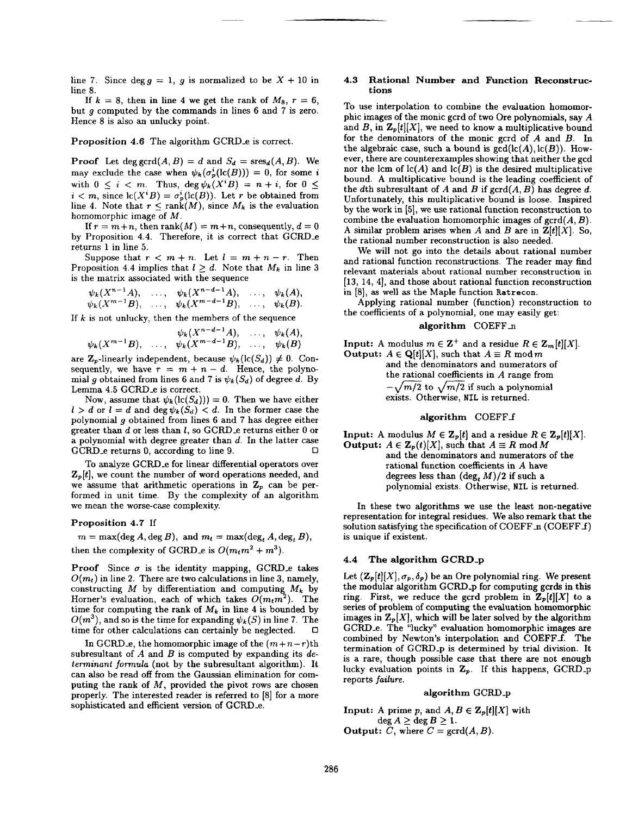line 7. Since deg  $g = 1$ , g is normalized to be  $X + 10$  in line 8.

If  $k = 8$ , then in line 4 we get the rank of  $M_8$ ,  $r = 6$ , but g computed by the commands in lines 6 and 7 is zero. Hence 8 is also an unlucky point.

Proposition 4.6 The algorithm GCRD.e is correct.

**Proof** Let deg gcrd $(A, B) = d$  and  $S_d = \text{sres}_d(A, B)$ . We may exclude the case when  $\psi_k(\sigma_p^i(\text{lc}(B))) = 0$ , for some i with  $0 \leq i \leq m$ . Thus,  $\deg \psi_k(X^i B) = n + i$ , for  $0 \leq$  $i < m$ , since  $\text{lc}(X^iB) = \sigma_p^i(\text{lc}(B))$ . Let r be obtained from line 4. Note that  $r \leq \text{rank}(M)$ , since  $M_k$  is the evaluation homomorphic image of *M,*

If  $r = m + n$ , then rank(M) =  $m + n$ , consequently,  $d = 0$ by Proposition 4.4. Therefore, it is correct that GCRD\_e returns 1 in line 5.

Suppose that  $r < m + n$ . Let  $l = m + n - r$ . Then Proposition 4.4 implies that  $l \geq d$ . Note that  $M_k$  in line 3 is the matrix associated with the sequence

$$
\psi_k(X^{n-1}A), \ldots, \psi_k(X^{n-d-1}A), \ldots, \psi_k(A),
$$
  
\n $\psi_k(X^{m-1}B), \ldots, \psi_k(X^{m-d-1}B), \ldots, \psi_k(B).$ 

If  $k$  is not unlucky, then the members of the sequence

$$
\psi_k(X^{n-d-1}A), \quad \ldots, \quad \psi_k(A),
$$
  

$$
\psi_k(X^{m-1}B), \quad \ldots, \quad \psi_k(X^{m-d-1}B), \quad \ldots, \quad \psi_k(B)
$$

are  $\mathbb{Z}_p$ -linearly independent, because  $\psi_k(\text{lc}(S_d)) \neq 0$ . Consequently, we have  $r = m + n - d$ . Hence, the polynomial g obtained from lines 6 and 7 is  $\psi_k(S_d)$  of degree d. By Lemma 4.5 GCRD.e is correct.

Now, assume that  $\psi_k(\text{lc}(S_d))) = 0$ . Then we have either  $l > d$  or  $l = d$  and deg  $\psi_k(S_d) < d$ . In the former case the polynomial g obtained from lines 6 and 7 has degree either greater than *d* or less than *l*, so GCRD e returns either 0 or a polynomial with degree greater than d. In the latter case GCRD<sub>-</sub>e returns 0, according to line 9.  $\Box$ 

To analyze GCRD-e for linear differential operators over  $\mathbf{Z}_{p}[t]$ , we count the number of word operations needed, and we assume that arithmetic operations in  $\mathbf{Z}_p$  can be performed in unit time. By the complexity of an algorithm we mean the worse-cae complexity.

#### Proposition 4.7 If

 $m = \max(\deg A, \deg B)$ , and  $m_t = \max(\deg_t A, \deg_t B)$ , then the complexity of GCRD\_e is  $O(m_t m^2 + m^3)$ .

**Proof** Since  $\sigma$  is the identity mapping, GCRD.e takes  $O(m_t)$  in line 2. There are two calculations in line 3, namely, constructing  $M$  by differentiation and computing  $M_k$  by Horner's evaluation, each of which takes  $O(m_t m^2)$ . The time for computing the rank of  $M_k$  in line 4 is bounded by  $O(m^3)$ , and so is the time for expanding  $\psi_k(S)$  in line 7. The time for other calculations can certainly be neglected.

In GCRD<sub>-e</sub>, the homomorphic image of the  $(m+n-r)$ <sup>th</sup> subresultant of  $A$  and  $B$  is computed by expanding its determinant formula (not by the subresultant algorithm). It can also be read off from the Gaussian elimination for computing the rank of  $M$ , provided the pivot rows are chosen properly. The interested reader is referred to [8] for a more sophisticated and efficient version of GCRD<sub>-e</sub>.

## 4.3 Rational Number and Function Reconstructions

To use interpolation to combine the evaluation homomorphic images of the monic gcrd of two Ore polynomials, say *A* and *B*, in  $\mathbb{Z}_p[t][X]$ , we need to know a multiplicative bound for the denominators of the monic gcrd of  $A$  and  $B$ . In the algebraic case, such a bound is  $gcd(lc(A), lc(B))$ . However, there are counterexamples showing that neither the gcd nor the lcm of  $lc(A)$  and  $lc(B)$  is the desired multiplicative bound. A multiplicative bound is the leading coefficient of the dth subresultant of  $A$  and  $B$  if  $\text{gcd}(A, B)$  has degree  $d$ . Unfortunately, this multiplicative bound is loose. Inspired by the work in [5], we use rational function reconstruction to combine the evaluation homomorphic images of  $\text{gcd}(A, B)$ . A similar problem arises when *A* and *B* are in  $\mathbf{Z}[t][X]$ . So, the rational number reconstruction is also needed.

We will not go into the details about rational number and rational function reconstructions. The reader may find relevant materials about rational number reconstruction in [13, 14, 4], and those about rational function reconstruction in [8], as well as the Maple function Ratrecon.

Applying rational number (function) reconstruction to the coefficients of a polynomial, one may easily get:

## algorithm COEFF\_n

**Input:** A modulus  $m \in \mathbb{Z}^+$  and a residue  $R \in \mathbb{Z}_m[t][X]$ . Output:  $A \in \mathbf{Q}[t][X]$ , such that  $A \equiv R \mod m$ 

and the denominators and numerators of the rational coefficients in  $A$  range from  $-\sqrt{m/2}$  to  $\sqrt{m/2}$  if such a polynomial exists. Otherwise, NIL is returned.

# algorithm  $COEFF_f$

**Input:** A modulus  $M \in \mathbb{Z}_p[t]$  and a residue  $R \in \mathbb{Z}_p[t][X]$ . Output:  $A \in \mathbf{Z}_p(t)[X]$ , such that  $A \equiv R \mod M$ and the denominators and numerators of the rational function coefficients in *A* have degrees less than  $(\deg_t M)/2$  if such a

polynomial exists. Otherwise, NIL is returned.

In these two algorithms we use the least non-negative representation for integral residues. We also remark that the solution satisfying the specification of COEFF\_ $\mathbf n$  (COEFF $\mathbf f$ ) is unique if existent.

# 4.4 The algorithm GCRD\_p

Let  $(\mathbf{Z}_{p}[t][X], \sigma_{p}, \delta_{p})$  be an Ore polynomial ring. We present the modular algorithm GCRD-p for computing gcrds in this ring. First, we reduce the gcrd problem in  $\mathbb{Z}_p[t][X]$  to a series of problem of computing the evaluation homomorphic images in  $\mathbb{Z}_p[X]$ , which will be later solved by the algorithm GCRD\_e. The "lucky" evaluation homomorphic images are combined by Newton's interpolation and COEFFf. The termination of GCRD-p is determined by trial division. It is a rare, though possible case that there are not enough lucky evaluation points in  $\mathbb{Z}_p$ . If this happens, GCRD<sub>-</sub>p reports failure.

#### algorithm GCRD-p

Input: A prime p, and  $A, B \in \mathbb{Z}_p[t][X]$  with  $\deg A \geq \deg B \geq 1$ . **Output:** C, where  $C = \text{gcd}(A, B)$ .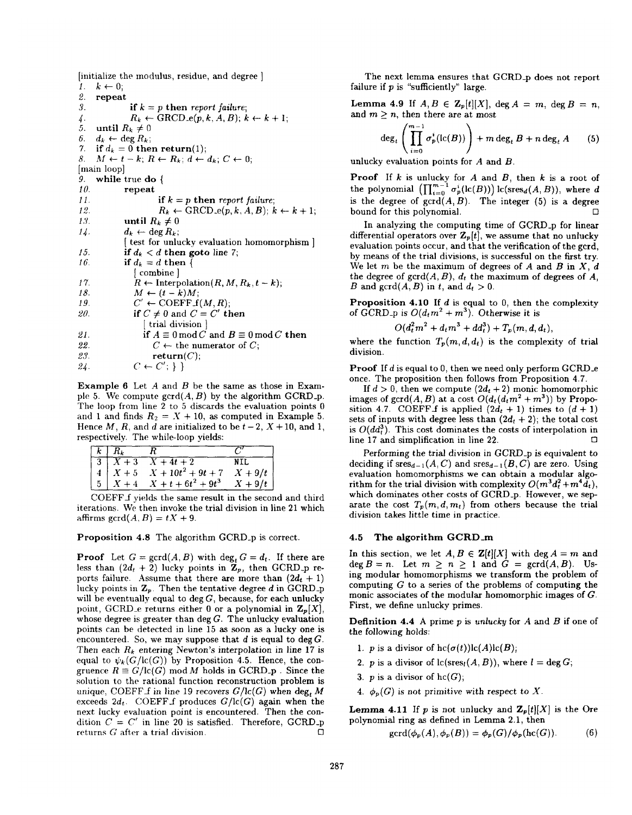$[initialize~the~modulus,~residue,~and~degree]$  $k \leftarrow 0$  $\mathbf{1}$ . 2. repeat  $3.$ if  $k = p$  then report failure; 4.  $R_k \leftarrow \text{GRCD.e}(p, k, A, B); k \leftarrow k+1;$ <br>5. until  $R_k \neq 0$ *until*  $R_k \neq 0$  $\delta$ *.*  $d_k \leftarrow \deg R_k$ ; 7. if  $d_k = 0$  then return(1);<br>8.  $M \leftarrow t - k$ ;  $R \leftarrow R_k$ ;  $d \leftarrow$  $M \leftarrow t-k; R \leftarrow R_k; d \leftarrow d_k; C \leftarrow 0;$ [main loop] 9. while true do { $10$ . *10.* repeat 11. **if**  $k = p$  then *report failure*; 12.<br> **13. until**  $R_k \neq 0$ <br> **13. until**  $R_k \neq 0$ until  $R_k \neq 0$  $14.$   $d_k \leftarrow \deg R_k;$ [ test for unlucky evaluation homomorphism ] *15.* if  $d_k < d$  then goto line 7; 16. if  $d_k = d$  then { [ combine] 17.  $R \leftarrow \text{Interpolation}(R, M, R_k, t-k);$ <br>18.  $M \leftarrow (t-k)M;$  $M \leftarrow (t-k)M;$ 19.  $C' \leftarrow \text{COEFF.}f(M, R);$ 20. if  $C \neq 0$  and  $C = C'$  then [ trial division ] 21. if  $A \equiv 0 \mod C$  and  $B \equiv 0 \mod C$  then 22.  $C \leftarrow$  the numerator of C; 23. return $(C)$ ; 24.  $C \leftarrow C'; \}$ 

Example 6 Let *A* and B be the same as those in Example 5. We compute  $\text{gcd}(A, B)$  by the algorithm GCRD<sub>-</sub>p. The loop from line  $2$  to 5 discards the evaluation points  $0$ and 1 and finds  $R_2 = X + 10$ , as computed in Example 5. Hence M, R, and d are initialized to be  $t-2$ ,  $X + 10$ , and 1, respectively. The while-loop yields:

| $k \mid R_k$                                   |                       |         |
|------------------------------------------------|-----------------------|---------|
|                                                | $3X + 3X + 4t + 2$    | NIL     |
| $4 \mid X+5$                                   | $X + 10t^2 + 9t + 7$  | $X+9/t$ |
| $\begin{array}{ c c c }\n5 & X+4\n\end{array}$ | $X + t + 6t^2 + 9t^3$ | $X+9/t$ |

COEFF f yields the same result in the second and third iterations. We then invoke the trial division in line 21 which affirms  $\gcd(A, B) = tX + 9$ .

Proposition 4.8 The algorithm GCRD\_p is correct

**Proof** Let  $G = \text{gcd}(A, B)$  with  $\text{deg}_t G = d_t$ . If there are less than  $(2d_t + 2)$  lucky points in  $\mathbb{Z}_p$ , then GCRD<sub>-</sub>p reports failure. Assume that there are more than  $(2d_t + 1)$ lucky points in  $\mathbb{Z}_p$ . Then the tentative degree *d* in GCRD<sub>-</sub>p will be eventually equal to  $\deg G$ , because, for each unlucky point, GCRD<sub>-</sub>e returns either 0 or a polynomial in  $\mathbf{Z}_{p}[X]$ whose degree is greater than deg  $G$ . The unlucky evaluation points can be detected in line 15 as soon as a lucky one is encountered. So, we may suppose that  $d$  is equal to  $\deg G$ . Then each *Rk* entering Newton's interpolation in *line 17 is* equal to  $\psi_k(G/\text{lc}(G))$  by Proposition 4.5. Hence, the congruence  $R \equiv G/\text{lc}(G) \mod M$  holds in GCRD<sub>-</sub>p. Since the solution to the rational function reconstruction problem is unique, COEFF f in line 19 recovers  $G/\text{lc}(G)$  when deg, M exceeds  $2d_t$ . COEFF f produces  $G/\text{lc}(G)$  again when the next lucky evaluation point is encountered. Then the condition  $C = C'$  in line 20 is satisfied. Therefore, GCRD<sub>-</sub>p returns  $G$  after a trial division.  $\Box$ 

The next lemma ensures that GCRD\_p does not report failure if  $p$  is "sufficiently" large.

Lemma 4.9 If  $A, B \in \mathbb{Z}_p[t][X]$ , deg  $A = m$ , deg  $B = n$ , and  $m \geq n$ , then there are at most

$$
\deg_t \left( \prod_{i=0}^{m-1} \sigma_p^i(\text{lc}(B)) \right) + m \deg_t B + n \deg_t A \qquad (5)
$$

unlucky evaluation points for *A* and B,

Proof If *k* is unlucky for *A* and B, then *k* is a root of the polynomial  $\left(\prod_{i=0}^{m-1} \sigma_p^i(\text{lc}(B))\right) \text{lc}(\text{sres}_d(A, B))$ , where *d* is the degree of  $\gcd(A, B)$ . The integer (5) is a degree bound for this polynomial. ❑

In analyzing the computing time of GCRD\_p for linear differential operators over  $\mathbf{Z}_{p}[t]$ , we assume that no unlucky evaluation points occur, and that the verification of the gcrd, by means of the trial divisions, is successful on the first try. We let m be the maximum of degrees of *A* and *B* in X, *d* the degree of  $\text{gcrd}(A, B)$ ,  $d_t$  the maximum of degrees of  $A$ , *B* and  $\text{gcd}(A, B)$  in t, and  $d_t > 0$ .

Proposition 4.10 If *d* is equal to O, then the complexity of GCRD<sub>-</sub>p is  $O(d_t m^2 + m^3)$ . Otherwise it is

$$
O(d_t^2m^2 + d_t m^3 + dd_t^3) + T_p(m, d, d_t),
$$

where the function  $T_p(m, d, d_t)$  is the complexity of trial division.

**Proof** If *d* is equal to 0, then we need only perform GCRD\_e once. The proposition then follows from Proposition 4.7.

If  $d > 0$ , then we compute  $(2d_t + 2)$  monic homomorphic images of gcrd $(A, B)$  at a cost  $O(d_t(d_t m^2 + m^3))$  by Proposition 4.7. COEFF f is applied  $(2d_t + 1)$  times to  $(d + 1)$ sets of inputs with degree less than  $(2d_t + 2)$ ; the total cost is  $O(dd_1^3)$ . This cost dominates the costs of interpolation in line 17 and simplification in line 22.  $\Box$ 

Performing the trial division in GCRD-p is equivalent to deciding if  $sres_{d-1}(A, C)$  and  $sres_{d-1}(B, C)$  are zero. Using evaluation homomorphisms we can obtain a modular algorithm for the trial division with complexity  $O(m^3d_t^2 + m^4d_t)$ , *which* dominates other costs of GCRD\_p. However, we separate the cost  $T_p(m, d, m_t)$  from others because the trial division takes little time in practice.

#### 4.5 The algorithm GCRD-m

In this section, we let  $A, B \in \mathbb{Z}[t][X]$  with  $\deg A = m$  and  $\deg B = n$ . Let  $m \geq n \geq 1$  and  $G = \text{gcd}(A, B)$ . Using modular homomorphisms we transform the problem of computing  $G$  to a series of the problems of computing the monic associates of the modular homomorphic images of  $G$ . First, we define unlucky primes.

Definition 4.4 A prime *p* is *unlucky* for *A* and B if one of the following holds:

- 1. *p* is a divisor of  $hc(\sigma(t))lc(A)lc(B)$ ;
- 2. *p* is a divisor of  $lc(sres<sub>l</sub>(A, B))$ , where  $l = deg G$ ;
- 3. *p* is a divisor of  $\mathrm{hc}(G)$ ;
- 4.  $\phi_p(G)$  is not primitive with respect to X.

**Lemma 4.11** If p is not unlucky and  $\mathbb{Z}_p[t][X]$  is the Ore polynomial ring as defined in Lemma 2.1, then

$$
\gcd(\phi_p(A), \phi_p(B)) = \phi_p(G)/\phi_p(\mathrm{hc}(G)). \tag{6}
$$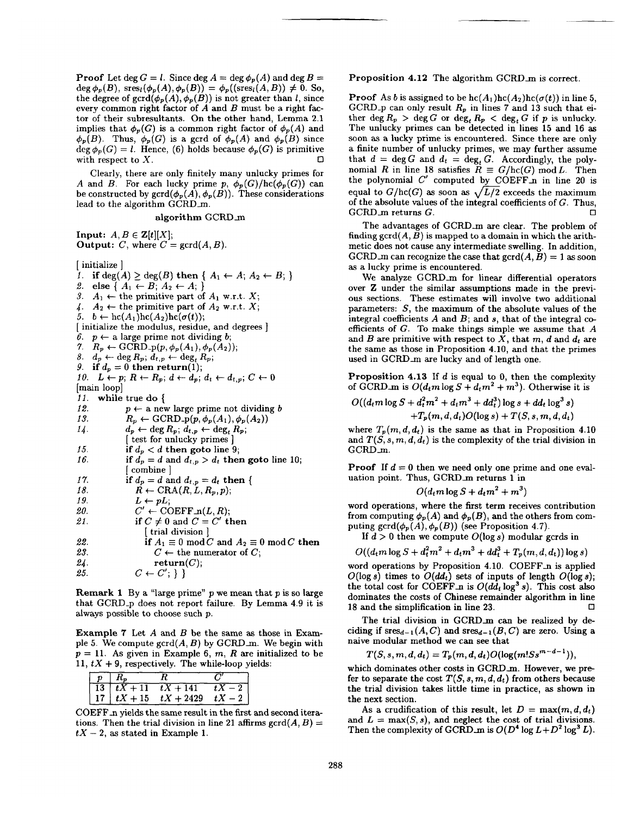**Proof** Let deg  $G = l$ . Since deg  $A = \deg \phi_p(A)$  and  $\deg B =$  $\deg \phi_p(B)$ ,  $\operatorname{sres}_l(\phi_p(A), \phi_p(B)) = \phi_p((\operatorname{sres}_l(A, B)) \neq 0$ . So, the degree of  $\text{gcd}(\phi_p(A), \phi_p(B))$  is not greater than *l*, since every common right factor of *A* and *B* must be a right factor of their subresultants. On the other hand, Lemma 2.1 implies that  $\phi_p(G)$  is a common right factor of  $\phi_p(A)$  and  $\phi_p(B)$ . Thus,  $\phi_p(G)$  is a gcrd of  $\phi_p(A)$  and  $\phi_p(B)$  since deg  $\phi_p(G) = l$ . Hence, (6) holds because  $\phi_p(G)$  is primitive with respect to  $X$ .

Clearly, there are only finitely many unlucky primes for *A* and *B*. For each lucky prime p,  $\phi_p(G)/hc(\phi_p(G))$  can be constructed by  $\text{gcd}(\phi_p(A), \phi_p(B))$ . These considerations lead to the algorithm GCRD\_m.

# algorithm GCRD m

 $Input: A, B \in \mathbb{Z}[t][X];$ Output: C, where  $C = \text{gcd}(A, B)$ . [initialize] I. if  $deg(A) \geq deg(B)$  then  $\{A_1 \leftarrow A; A_2 \leftarrow B; \}$ 2. **else**  $\{A_1 \leftarrow B; A_2 \leftarrow A; \}$ <br>3.  $A_1 \leftarrow$  the primitive part of  $A_1 \leftarrow$  the primitive part of  $A_1$  w.r.t. X; 4.  $A_2 \leftarrow$  the primitive part of  $A_2$  w.r.t. X; 5.  $b \leftarrow \text{hc}(A_1)\text{hc}(A_2)\text{hc}(\sigma(t));$ [initialize the modulus, residue, and degrees] 6.  $p \leftarrow$  a large prime not dividing *b*; 7.  $R_p \leftarrow \text{GCRD}_p(p, \phi_p(A_1), \phi_p(A_2));$ 8.  $d_p \leftarrow \deg R_p$ ;  $d_{t,p} \leftarrow \deg_t R_p$ ;<br>9. if  $d_p = 0$  then return(1); if  $d_p = 0$  then return(1); 10.  $L \leftarrow p$ ;  $R \leftarrow R_p$ ;  $d \leftarrow d_p$ ;  $d_t \leftarrow d_{t,p}$ ;  $C \leftarrow 0$ [main loop] 11. while true do {<br>  $12.$   $p \leftarrow a$  new 12. **p**  $\leftarrow$  a new large prime not dividing *b* 13. **R**<sub>n</sub>  $\leftarrow$  GCRD<sub>-</sub>p(*p*,  $\phi_n(A_1), \phi_n(A_2)$ ) 13.  $R_p \leftarrow \text{GCRD}_\text{p}(p, \phi_p(A_1), \phi_p(A_2))$ <br>  $14. \qquad d_p \leftarrow \text{deg } R_p; d_{t,p} \leftarrow \text{deg}_t R_p;$  $d_p \leftarrow \deg R_p$ ;  $d_{t,p} \leftarrow \deg_t R_p$ ; *[* test for unlucky primes] 15. **if**  $d_p < d$  then goto line 9;<br>16. **if**  $d_n = d$  and  $d_{t_n} > d_t$  then if  $d_p = d$  and  $d_{t,p} > d_t$  then goto line 10; [ combine] 17. if  $d_p = d$  and  $d_{t,p} = d_t$  then {<br>
18.  $R \leftarrow \text{CRA}(R, L, R_p, p);$ 18.  $\overrightarrow{R} \leftarrow \text{CRA}(R, L, R_p, p);$ <br>19.  $L \leftarrow pL;$ 19.  $L \leftarrow pL$ ;<br>20.  $C' \leftarrow CC$ 20.  $C' \leftarrow \text{COEFF\_n}(L, R);$ <br>
21. **if**  $C \neq 0$  and  $C = C'$  t if  $C \neq 0$  and  $C = C'$  then [ trial division ] 22. if  $A_1 \equiv 0 \mod C$  and  $A_2 \equiv 0 \mod C$  then<br>23.  $C \leftarrow$  the numerator of  $C$ : 23.  $C \leftarrow$  the numerator of C;<br>
24. return(C); 24. return(C);<br>25.  $C \leftarrow C';\}$  $C\leftarrow C';$  } }

Remark 1 By a "large prime" p we mean that *p* is so large that GCRD-p does not report failure, By Lemma 4.9 it is always possible to choose such p.

Example 7 Let *A* and *B* be the same as those in Example 5. We compute  $\text{gcd}(A, B)$  by GCRD\_m. We begin with  $p = 11$ . As given in Example 6,  $m$ ,  $R$  are initialized to be 11,  $tX + 9$ , respectively. The while-loop yields:

|  | $\begin{array}{ c c c c c } \hline p & R_p & R & C' \\ \hline 13 & tX+11 & tX+141 & tX-2 \\ 17 & tX+15 & tX+2429 & tX-2 \\ \hline \end{array}$ |  |
|--|------------------------------------------------------------------------------------------------------------------------------------------------|--|

COEFF-n yields the same result in the first and second iterations. Then the trial division in line 21 affirms  $\text{gcd}(A, B) =$  $tX - 2$ , as stated in Example 1.

# Proposition 4.12 The algorithm GCRD<sub>m</sub> is correct.

**Proof** As *b* is assigned to be  $\text{hc}(A_1)\text{hc}(A_2)\text{hc}(\sigma(t))$  in line 5, GCRD<sub>-</sub>p can only result  $R_p$  in lines 7 and 13 such that either deg  $R_p$  > deg G or deg<sub>t</sub>  $R_p$  < deg<sub>t</sub> G if p is unlucky. The unlucky primes can be detected in lines 15 and 16 as soon as a lucky prime is encountered. Since there are only a finite number of unlucky primes, we may further assume that  $d = \deg G$  and  $d_t = \deg_t G$ . Accordingly, the polynomial *R* in line 18 satisfies  $R \equiv G/\mathrm{hc}(G) \mod L$ . Then the polynomial  $C'$  computed by COEFF<sub>n</sub> in line 20 is equal to  $G/\mathrm{hc}(G)$  as soon as  $\sqrt{L/2}$  exceeds the maximum of the absolute values of the integral coefficients of  $G$ . Thus,  $GCRD$ **m** returns  $G$ .  $\Box$ 

The advantages of GCRD m are clear. The problem of finding  $gcd(A, B)$  is mapped to a domain in which the arithmetic does not cause any intermediate swelling. In addition, GCRD m can recognize the case that  $\text{gcd}(A, B) = 1$  as soon as a lucky prime is encountered.

We analyze GCRD\_m for linear differential operators over Z under the similar assumptions made in the previous sections. These estimates will involve two additional parameters:  $S$ , the maximum of the absolute values of the integral coefficients  $A$  and  $B$ ; and  $s$ , that of the integral coefficients of G. To make things simple we assume that *A* and *B* are primitive with respect to X, that m, *d* and  $d_t$  are the same as those in Proposition 4.10, and that the primes used in GCRD\_m are lucky and of length one.

Proposition 4.13 If *d is* equal to O, then the complexity of GCRD<sub>-</sub>m is  $O(d_t m \log S + d_t m^2 + m^3)$ . Otherwise it is

$$
O((d_t m \log S + d_t^2 m^2 + d_t m^3 + dd_t^3) \log s + dd_t \log^3 s) + T_p(m, d, d_t)O(\log s) + T(S, s, m, d, d_t)
$$

where  $T_p(m, d, d_t)$  is the same as that in Proposition 4.10 and  $T(S, s, m, d, d_t)$  is the complexity of the trial division in GCRD\_m.

**Proof** If  $d = 0$  then we need only one prime and one evaluation point. Thus, GCRD m returns 1 in

$$
O(d_t m \log S + d_t m^2 + m^3)
$$

word operations, where the first term receives contribution from computing  $\phi_p(A)$  and  $\phi_p(B)$ , and the others from computing  $\text{gcd}(\phi_p(A), \phi_p(B))$  (see Proposition 4.7).

If  $d > 0$  then we compute  $O(\log s)$  modular gcrds in

 $O((d_t m \log S + d_t^2 m^2 + d_t m^3 + d d_t^3 + T_p(m, d, d_t)) \log s)$ 

word operations by Proposition 4.10. COEFF\_n is applied  $O(\log s)$  times to  $O(dd_t)$  sets of inputs of length  $O(\log s)$ ; the total cost for COEFF n is  $O(dd_t \log^3 s)$ . This cost also dominates the costs of Chinese remainder algorithm in line 18 and the simplification in line 23.  $\Box$ 

The trial division in GCRD\_m can be realized by deciding if  $sres_{d-1}(A, C)$  and  $sres_{d-1}(B, C)$  are zero. Using a naive modular method we can see that

$$
T(S,s,m,d,d_t)=T_p(m,d,d_t)O(\log(m!Ss^{m-d-1})),
$$

which dominates other costs in GCRD\_m. However, we prefer to separate the cost  $T(S, s, m, d, d_t)$  from others because the trial division takes little time in practice, as shown in the next section.

As a crudification of this result, let  $D = \max(m, d, d_t)$ and  $L = \max(S, s)$ , and neglect the cost of trial divisions. Then the complexity of GCRD m is  $O(D^4 \log L + D^2 \log^3 L)$ .